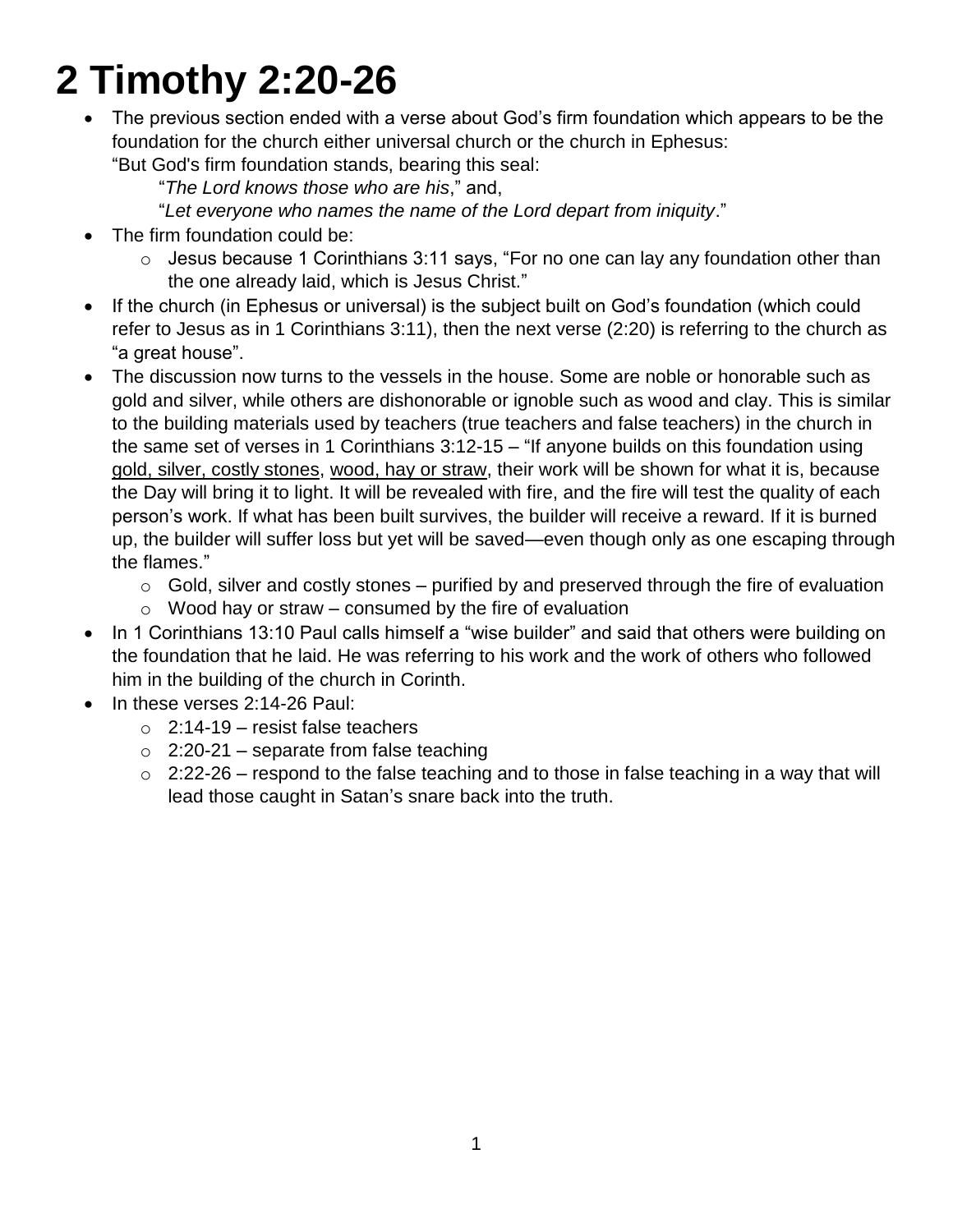# **2 Timothy 2:20-26**

 The previous section ended with a verse about God's firm foundation which appears to be the foundation for the church either universal church or the church in Ephesus:

"But God's firm foundation stands, bearing this seal:

"*The Lord knows those who are his*," and,

"*Let everyone who names the name of the Lord depart from iniquity*."

- The firm foundation could be:
	- $\circ$  Jesus because 1 Corinthians 3:11 says, "For no one can lay any foundation other than the one already laid, which is Jesus Christ."
- If the church (in Ephesus or universal) is the subject built on God's foundation (which could refer to Jesus as in 1 Corinthians 3:11), then the next verse (2:20) is referring to the church as "a great house".
- The discussion now turns to the vessels in the house. Some are noble or honorable such as gold and silver, while others are dishonorable or ignoble such as wood and clay. This is similar to the building materials used by teachers (true teachers and false teachers) in the church in the same set of verses in 1 Corinthians 3:12-15 – "If anyone builds on this foundation using gold, silver, costly stones, wood, hay or straw, their work will be shown for what it is, because the Day will bring it to light. It will be revealed with fire, and the fire will test the quality of each person's work. If what has been built survives, the builder will receive a reward. If it is burned up, the builder will suffer loss but yet will be saved—even though only as one escaping through the flames."
	- $\circ$  Gold, silver and costly stones purified by and preserved through the fire of evaluation
	- $\circ$  Wood hay or straw consumed by the fire of evaluation
- In 1 Corinthians 13:10 Paul calls himself a "wise builder" and said that others were building on the foundation that he laid. He was referring to his work and the work of others who followed him in the building of the church in Corinth.
- In these verses 2:14-26 Paul:
	- $\circ$  2:14-19 resist false teachers
	- $\circ$  2:20-21 separate from false teaching
	- $\circ$  2:22-26 respond to the false teaching and to those in false teaching in a way that will lead those caught in Satan's snare back into the truth.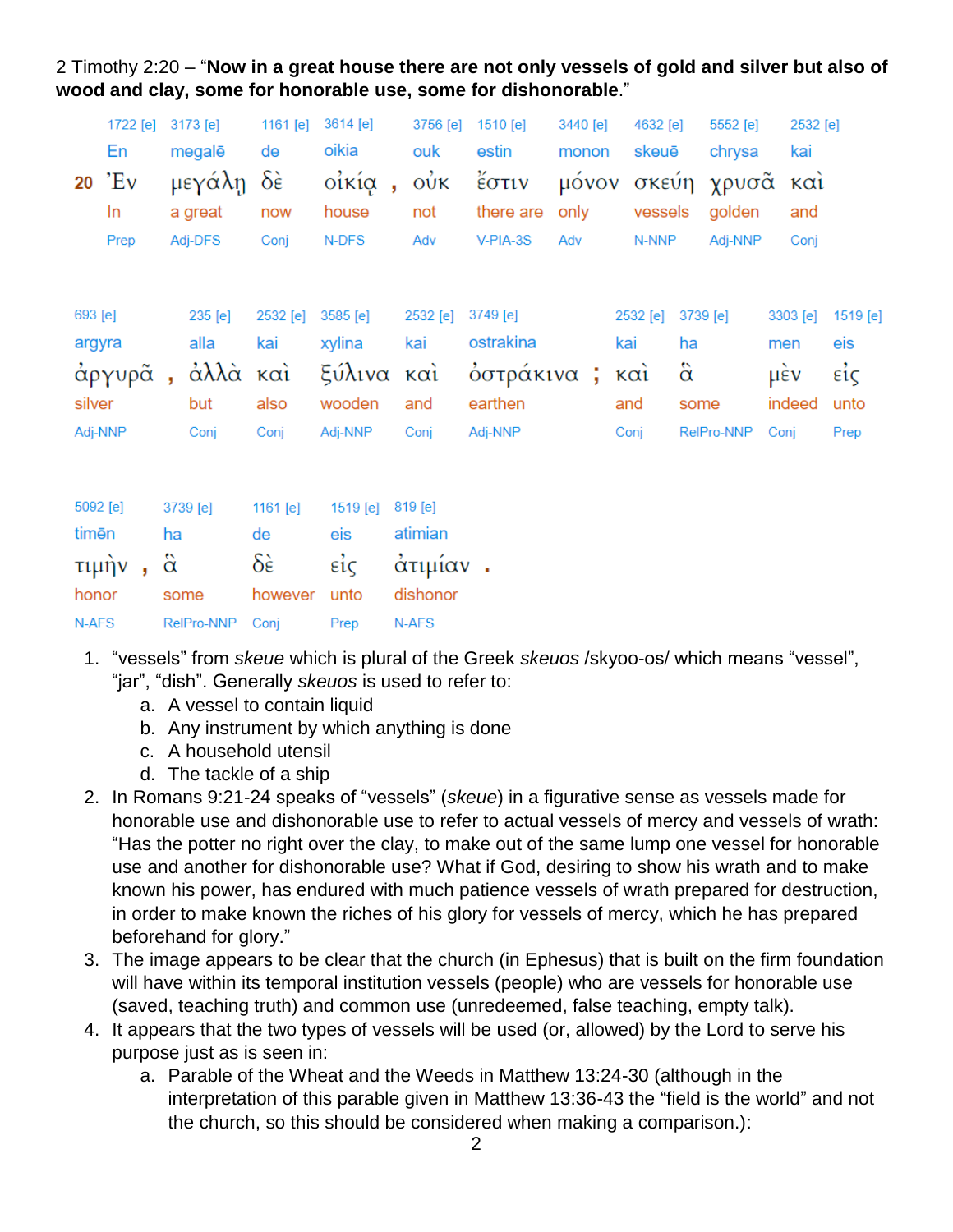2 Timothy 2:20 – "**Now in a great house there are not only vessels of gold and silver but also of wood and clay, some for honorable use, some for dishonorable**."

|                                        | 1722 [e]<br>En<br>$20$ $EV$<br>In<br>Prep |                       | 3173 [e]<br>megalē<br>μεγάλη<br>a great<br>Adj-DFS | 1161 [e]<br>de<br>$\delta \hat{\epsilon}$<br>now<br>Conj | 3614 [e]<br>oikia<br>οίκία,<br>house<br>N-DFS         | 3756 [e]<br>ouk<br>$\vec{\omega}$<br>not<br>Adv     | 1510 [e]<br>estin<br>έστιν<br>there are<br>V-PIA-3S            | 3440 [e]<br>monon<br>only<br>Adv | 4632 [e]<br>skeuē<br>vessels<br>N-NNP |                               | 5552 [e]<br>chrysa<br>μόνον σκεύη χρυσᾶ καὶ<br>golden<br>Adj-NNP |                    | 2532 [e]<br>kai<br>and<br>Conj |                                                        |
|----------------------------------------|-------------------------------------------|-----------------------|----------------------------------------------------|----------------------------------------------------------|-------------------------------------------------------|-----------------------------------------------------|----------------------------------------------------------------|----------------------------------|---------------------------------------|-------------------------------|------------------------------------------------------------------|--------------------|--------------------------------|--------------------------------------------------------|
| 693 [e]<br>argyra<br>silver<br>Adj-NNP | άργυρᾶ,                                   |                       | 235 [e]<br>alla<br>άλλὰ καὶ<br>but<br>Conj         | 2532 [e]<br>kai<br>also<br>Conj                          | 3585 [e]<br>xylina<br>ξύλινα καὶ<br>wooden<br>Adj-NNP | 2532 [e]<br>kai<br>and<br>Conj                      | 3749 [e]<br>ostrakina<br>όστράκινα ; και<br>earthen<br>Adj-NNP |                                  | 2532 [e]<br>kai<br>and<br>Conj        | ha<br>$\ddot{\alpha}$<br>some | 3739 [e]<br>RelPro-NNP                                           | men<br>μέν<br>Conj | 3303 [e]<br>indeed             | 1519 [e]<br>eis<br>$\vec{\epsilon}$ ic<br>unto<br>Prep |
| 5092 [e]<br>timēn<br>honor<br>N-AFS    | τιμήν,                                    | ha<br>$\ddot{\alpha}$ | 3739 [e]<br>some<br>RelPro-NNP                     | 1161 [e]<br>de<br>$\delta \epsilon$<br>however<br>Conj   | 1519 [e]<br>eis<br>$ε$ ίς<br>unto<br>Prep             | 819 [e]<br>atimian<br>άτιμίαν.<br>dishonor<br>N-AFS |                                                                |                                  |                                       |                               |                                                                  |                    |                                |                                                        |

- 1. "vessels" from *skeue* which is plural of the Greek *skeuos* /skyoo-os/ which means "vessel", "jar", "dish". Generally *skeuos* is used to refer to:
	- a. A vessel to contain liquid
	- b. Any instrument by which anything is done
	- c. A household utensil
	- d. The tackle of a ship
- 2. In Romans 9:21-24 speaks of "vessels" (*skeue*) in a figurative sense as vessels made for honorable use and dishonorable use to refer to actual vessels of mercy and vessels of wrath: "Has the potter no right over the clay, to make out of the same lump one vessel for honorable use and another for dishonorable use? What if God, desiring to show his wrath and to make known his power, has endured with much patience vessels of wrath prepared for destruction, in order to make known the riches of his glory for vessels of mercy, which he has prepared beforehand for glory."
- 3. The image appears to be clear that the church (in Ephesus) that is built on the firm foundation will have within its temporal institution vessels (people) who are vessels for honorable use (saved, teaching truth) and common use (unredeemed, false teaching, empty talk).
- 4. It appears that the two types of vessels will be used (or, allowed) by the Lord to serve his purpose just as is seen in:
	- a. Parable of the Wheat and the Weeds in Matthew 13:24-30 (although in the interpretation of this parable given in Matthew 13:36-43 the "field is the world" and not the church, so this should be considered when making a comparison.):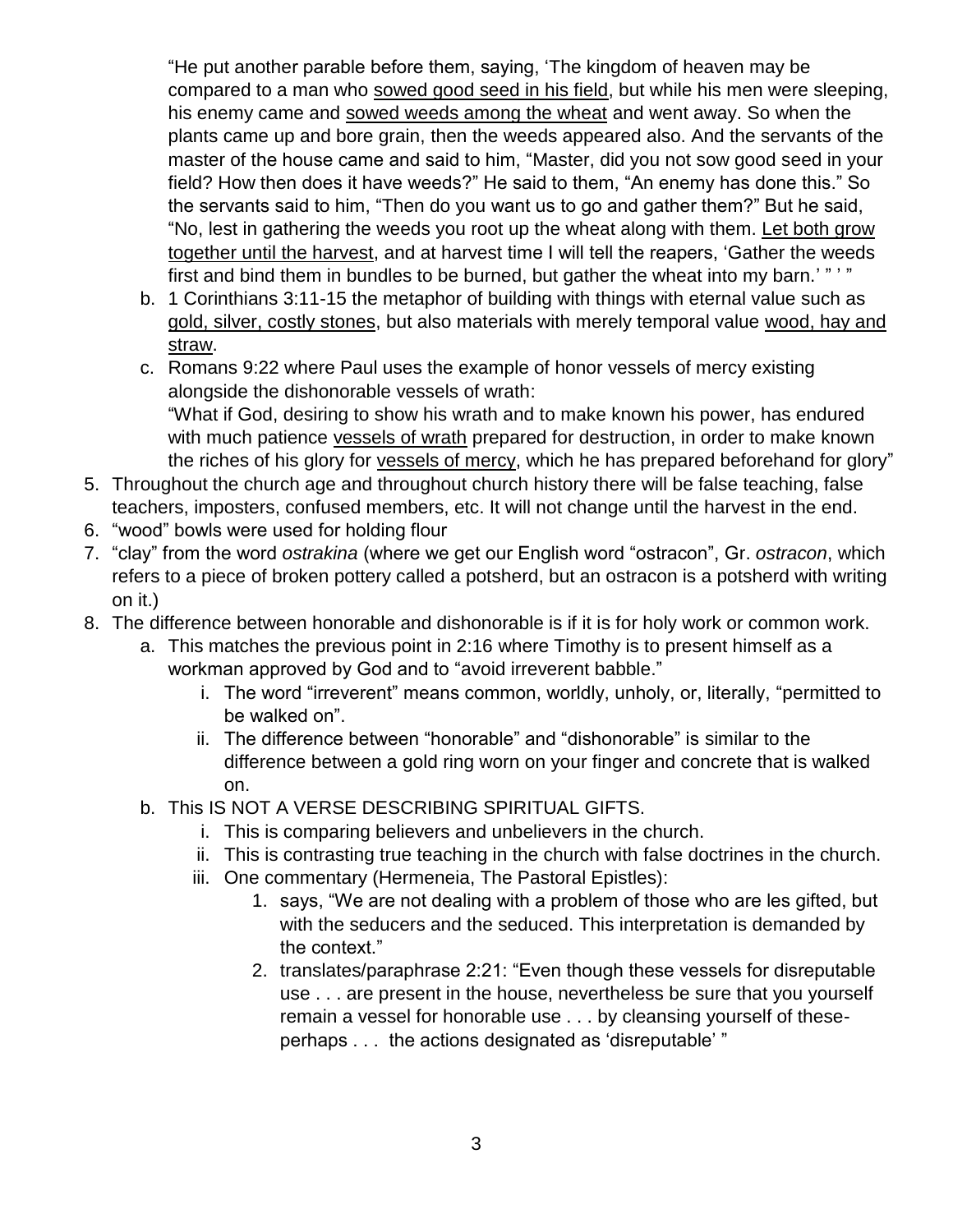"He put another parable before them, saying, 'The kingdom of heaven may be compared to a man who sowed good seed in his field, but while his men were sleeping, his enemy came and sowed weeds among the wheat and went away. So when the plants came up and bore grain, then the weeds appeared also. And the servants of the master of the house came and said to him, "Master, did you not sow good seed in your field? How then does it have weeds?" He said to them, "An enemy has done this." So the servants said to him, "Then do you want us to go and gather them?" But he said, "No, lest in gathering the weeds you root up the wheat along with them. Let both grow together until the harvest, and at harvest time I will tell the reapers, 'Gather the weeds first and bind them in bundles to be burned, but gather the wheat into my barn.'" "

- b. 1 Corinthians 3:11-15 the metaphor of building with things with eternal value such as gold, silver, costly stones, but also materials with merely temporal value wood, hay and straw.
- c. Romans 9:22 where Paul uses the example of honor vessels of mercy existing alongside the dishonorable vessels of wrath: "What if God, desiring to show his wrath and to make known his power, has endured with much patience vessels of wrath prepared for destruction, in order to make known the riches of his glory for vessels of mercy, which he has prepared beforehand for glory"
- 5. Throughout the church age and throughout church history there will be false teaching, false teachers, imposters, confused members, etc. It will not change until the harvest in the end.
- 6. "wood" bowls were used for holding flour
- 7. "clay" from the word *ostrakina* (where we get our English word "ostracon", Gr. *ostracon*, which refers to a piece of broken pottery called a potsherd, but an ostracon is a potsherd with writing on it.)
- 8. The difference between honorable and dishonorable is if it is for holy work or common work.
	- a. This matches the previous point in 2:16 where Timothy is to present himself as a workman approved by God and to "avoid irreverent babble."
		- i. The word "irreverent" means common, worldly, unholy, or, literally, "permitted to be walked on".
		- ii. The difference between "honorable" and "dishonorable" is similar to the difference between a gold ring worn on your finger and concrete that is walked on.
	- b. This IS NOT A VERSE DESCRIBING SPIRITUAL GIFTS.
		- i. This is comparing believers and unbelievers in the church.
		- ii. This is contrasting true teaching in the church with false doctrines in the church.
		- iii. One commentary (Hermeneia, The Pastoral Epistles):
			- 1. says, "We are not dealing with a problem of those who are les gifted, but with the seducers and the seduced. This interpretation is demanded by the context."
			- 2. translates/paraphrase 2:21: "Even though these vessels for disreputable use . . . are present in the house, nevertheless be sure that you yourself remain a vessel for honorable use . . . by cleansing yourself of theseperhaps . . . the actions designated as 'disreputable' "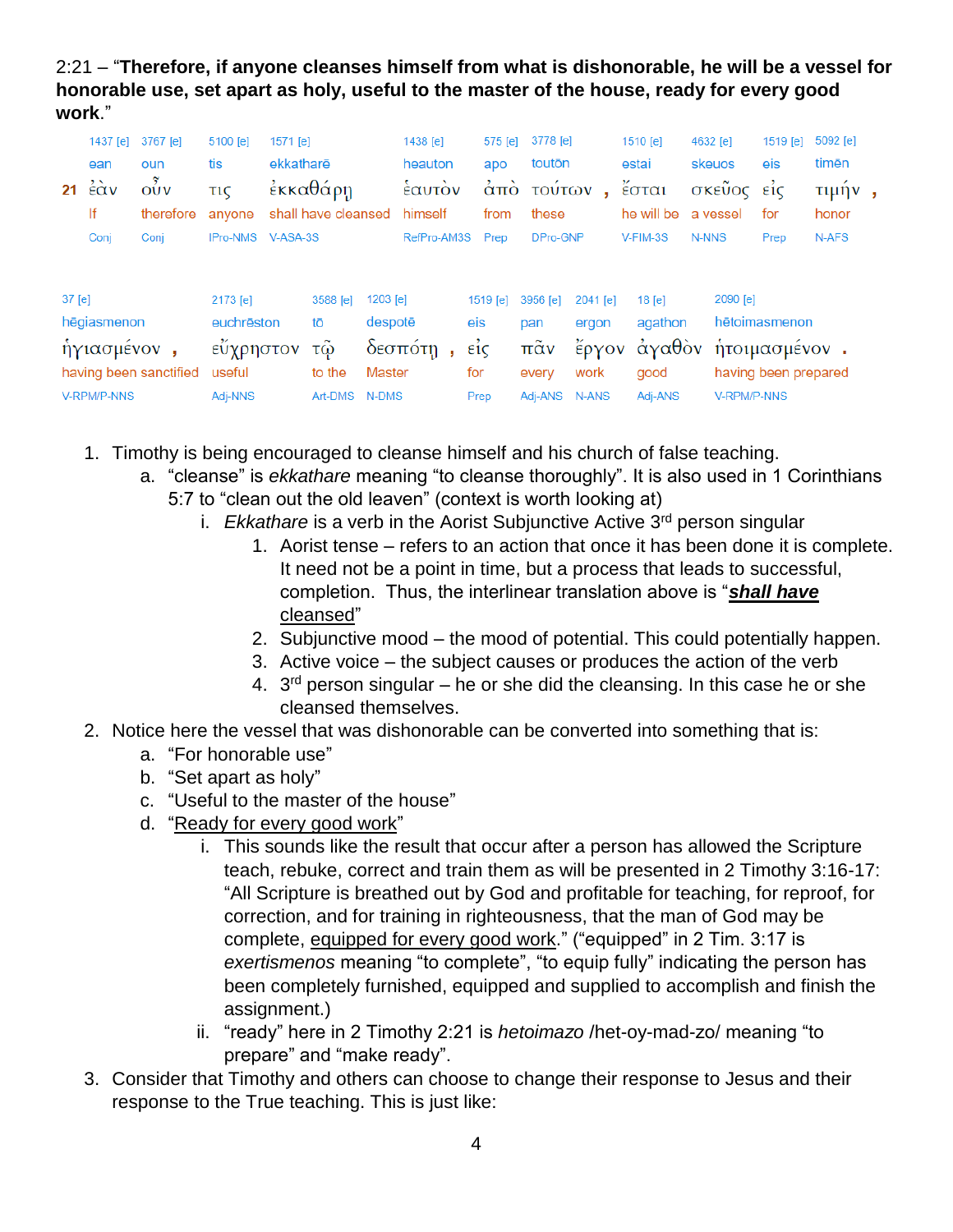2:21 – "**Therefore, if anyone cleanses himself from what is dishonorable, he will be a vessel for honorable use, set apart as holy, useful to the master of the house, ready for every good work**."

|                        | 1437 [e]            | 3767 [e]  | 5100 [e]        | 1571 [e]  |                     |          | 1438 [e]    |      | 575 [e]                | 3778 [e]             |          | 1510 [e]   | 4632 [e]             | 1519 [e]      | 5092 [e] |  |
|------------------------|---------------------|-----------|-----------------|-----------|---------------------|----------|-------------|------|------------------------|----------------------|----------|------------|----------------------|---------------|----------|--|
|                        | ean                 | oun       | tis             | ekkatharë |                     |          | heauton     |      | apo                    | toutōn               |          | estai      | skeuos               | eis           | timēn    |  |
| 21                     | $\dot{\epsilon}$ àv | OUV       | τıς             |           | έκκαθάρη            |          | εαυτον      |      | $\alpha$ <sub>TO</sub> | τούτων               | ×.       | έσται      | σκεῦος               | $\epsilon$ ic | τιμήν,   |  |
|                        | lf                  | therefore | anvone          |           | shall have cleansed |          | himself     |      | from                   | these                |          | he will be | a vessel             | for           | honor    |  |
|                        | Conj                | Conj      | <b>IPro-NMS</b> | V-ASA-3S  |                     |          | RefPro-AM3S |      | Prep                   | DPro-GNP             |          | V-FIM-3S   | N-NNS                | Prep          | N-AFS    |  |
| $37$ [e]               |                     |           | 2173 [e]        |           | 3588 [e]            | 1203 [e] |             |      | 1519 [e]               | 3956 [e]             | 2041 [e] | 18 [e]     | 2090 [e]             |               |          |  |
|                        | hēgiasmenon         |           | euchrēston      |           | tō                  | despotē  |             |      | eis                    | pan                  | ergon    | agathon    |                      | hētoimasmenon |          |  |
| ήγιασμένον,            |                     |           | εὖχρηστον       |           | τω                  | δεσπότη  |             |      | $\vec{\epsilon}$       | $\pi\tilde{\alpha}v$ | έργον    | ἀγαθὸν     |                      | ήτοιμασμένον. |          |  |
| having been sanctified |                     | useful    | to the          |           | Master              |          |             | for  | every                  | work                 | good     |            | having been prepared |               |          |  |
| V-RPM/P-NNS            |                     | Adj-NNS   | Art-DMS         |           | N-DMS               |          |             | Prep | Adi-ANS                | N-ANS                | Adj-ANS  |            | <b>V-RPM/P-NNS</b>   |               |          |  |

- 1. Timothy is being encouraged to cleanse himself and his church of false teaching.
	- a. "cleanse" is *ekkathare* meaning "to cleanse thoroughly". It is also used in 1 Corinthians 5:7 to "clean out the old leaven" (context is worth looking at)
		- i. *Ekkathare* is a verb in the Aorist Subjunctive Active 3rd person singular
			- 1. Aorist tense refers to an action that once it has been done it is complete. It need not be a point in time, but a process that leads to successful, completion. Thus, the interlinear translation above is "*shall have* cleansed"
			- 2. Subjunctive mood the mood of potential. This could potentially happen.
			- 3. Active voice the subject causes or produces the action of the verb
			- 4.  $3<sup>rd</sup>$  person singular he or she did the cleansing. In this case he or she cleansed themselves.
- 2. Notice here the vessel that was dishonorable can be converted into something that is:
	- a. "For honorable use"
	- b. "Set apart as holy"
	- c. "Useful to the master of the house"
	- d. "Ready for every good work"
		- i. This sounds like the result that occur after a person has allowed the Scripture teach, rebuke, correct and train them as will be presented in 2 Timothy 3:16-17: "All Scripture is breathed out by God and profitable for teaching, for reproof, for correction, and for training in righteousness, that the man of God may be complete, equipped for every good work." ("equipped" in 2 Tim. 3:17 is *exertismenos* meaning "to complete", "to equip fully" indicating the person has been completely furnished, equipped and supplied to accomplish and finish the assignment.)
		- ii. "ready" here in 2 Timothy 2:21 is *hetoimazo* /het-oy-mad-zo/ meaning "to prepare" and "make ready".
- 3. Consider that Timothy and others can choose to change their response to Jesus and their response to the True teaching. This is just like: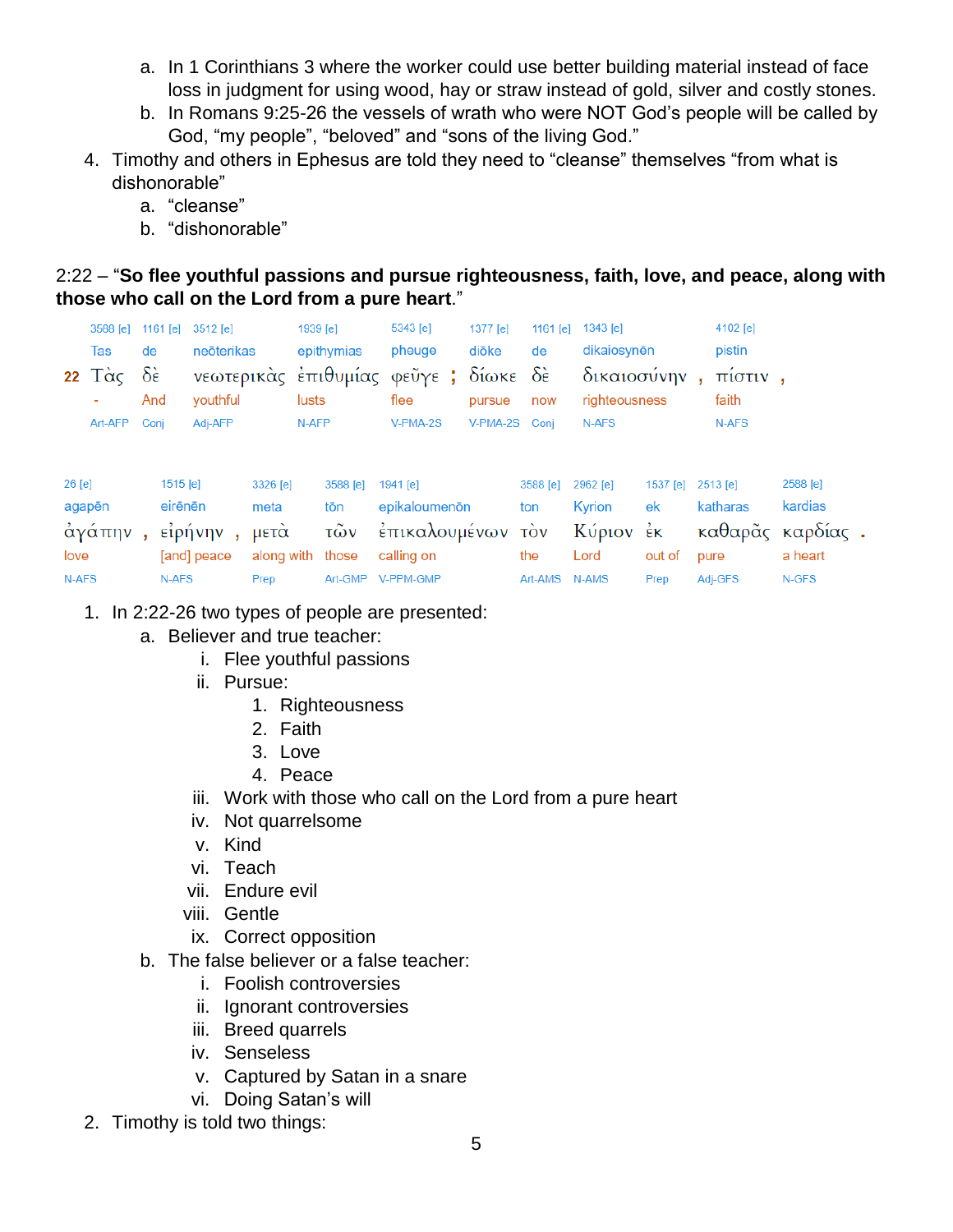- a. In 1 Corinthians 3 where the worker could use better building material instead of face loss in judgment for using wood, hay or straw instead of gold, silver and costly stones.
- b. In Romans 9:25-26 the vessels of wrath who were NOT God's people will be called by God, "my people", "beloved" and "sons of the living God."
- 4. Timothy and others in Ephesus are told they need to "cleanse" themselves "from what is dishonorable"
	- a. "cleanse"
	- b. "dishonorable"

#### 2:22 – "**So flee youthful passions and pursue righteousness, faith, love, and peace, along with those who call on the Lord from a pure heart**."

|          | 3588 [e]<br>Tas<br>22 $T\alpha\zeta$<br>٠ | de<br>$\delta \hat{\epsilon}$<br>And |          | 1161 [e] 3512 [e]<br>neōterikas<br>youthful |              | 5343 [e]<br>1939 [e]<br>epithymias<br>pheuge<br>νεωτερικάς έπιθυμίας φεῦγε; δίωκε δε<br>lusts<br>flee |                   |  | 1377 [e]<br>diōke<br>pursue | 1161 [e]<br>de<br>now | 1343 [e]   | dikaiosynēn<br>δικαιοσύνην,<br>righteousness |          | 4102 [e]<br>pistin<br>πίστιν,<br>faith |          |                             |
|----------|-------------------------------------------|--------------------------------------|----------|---------------------------------------------|--------------|-------------------------------------------------------------------------------------------------------|-------------------|--|-----------------------------|-----------------------|------------|----------------------------------------------|----------|----------------------------------------|----------|-----------------------------|
|          | Art-AFP                                   | Conj                                 |          | Adj-AFP                                     |              | N-AFP                                                                                                 |                   |  | V-PMA-2S                    | V-PMA-2S Conj         |            | N-AFS                                        |          |                                        | N-AFS    |                             |
| $26$ [e] |                                           |                                      | 1515 [e] |                                             | 3326 [e]     |                                                                                                       | 3588 [e]          |  | 1941 [e]                    |                       | 3588 [e]   | 2962 [e]                                     | 1537 [e] |                                        | 2513 [e] | 2588 [e]                    |
|          | agapēn<br>άγάπην                          |                                      | eirēnēn  | είρήνην                                     | meta<br>μετά |                                                                                                       | tōn<br>τῶν        |  | epikaloumenon               | έπικαλουμένων         | ton<br>τὸν | Kyrion<br>Κύριον έκ                          | ek       |                                        | katharas | kardias<br>καθαρᾶς καρδίας. |
| love     |                                           |                                      |          | [and] peace                                 | along with   |                                                                                                       | those             |  | calling on                  |                       | the        | Lord                                         | out of   |                                        | pure     | a heart                     |
| N-AFS    |                                           |                                      | N-AFS    |                                             | Prep         |                                                                                                       | Art-GMP V-PPM-GMP |  |                             |                       | Art-AMS    | N-AMS                                        | Prep     |                                        | Adj-GFS  | N-GFS                       |

1. In 2:22-26 two types of people are presented:

- a. Believer and true teacher:
	- i. Flee youthful passions
	- ii. Pursue:
		- 1. Righteousness
		- 2. Faith
			- 3. Love
			- 4. Peace
	- iii. Work with those who call on the Lord from a pure heart
	- iv. Not quarrelsome
	- v. Kind
	- vi. Teach
	- vii. Endure evil
	- viii. Gentle
	- ix. Correct opposition
- b. The false believer or a false teacher:
	- i. Foolish controversies
	- ii. Ignorant controversies
	- iii. Breed quarrels
	- iv. Senseless
	- v. Captured by Satan in a snare
	- vi. Doing Satan's will
- 2. Timothy is told two things: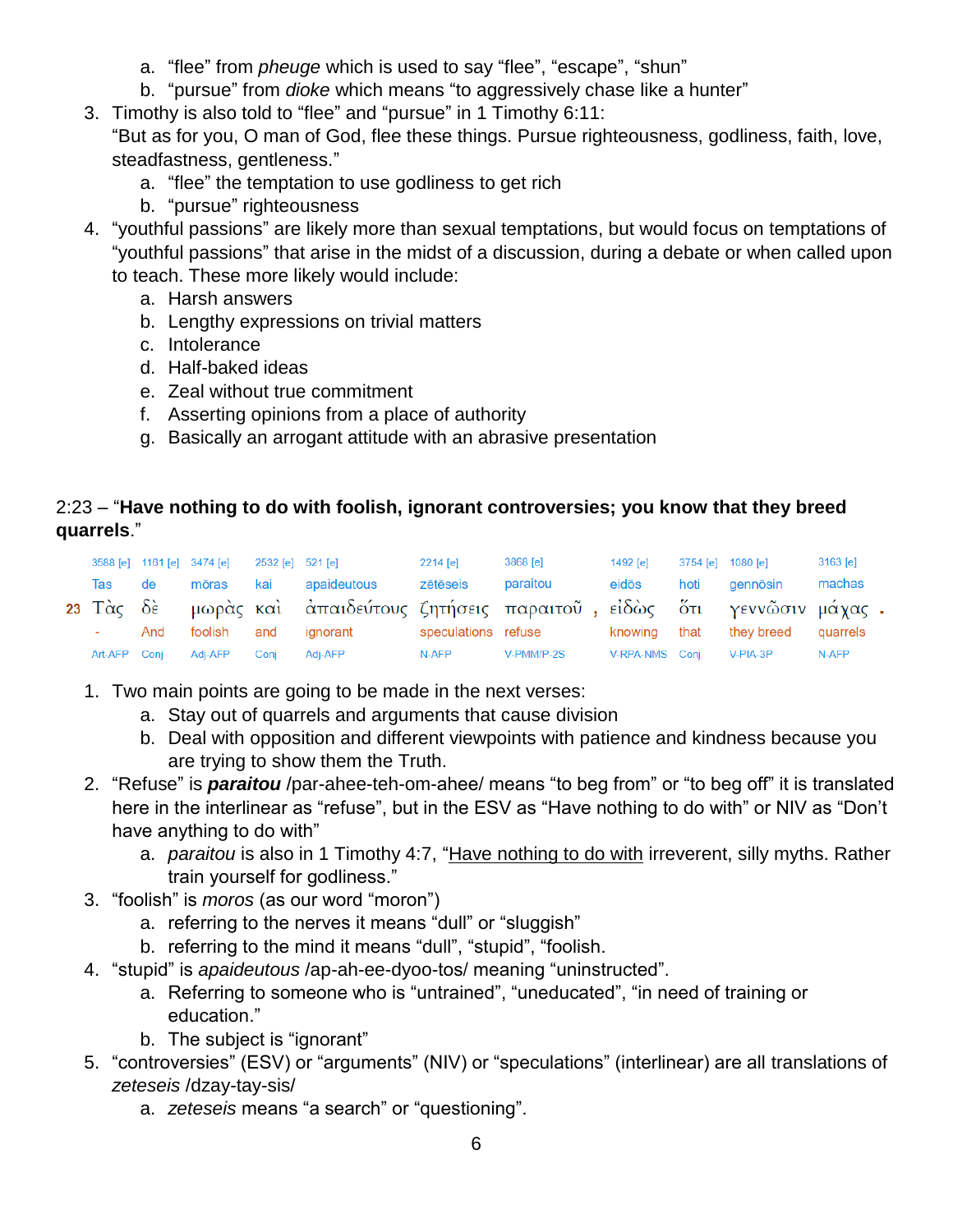- a. "flee" from *pheuge* which is used to say "flee", "escape", "shun"
- b. "pursue" from *dioke* which means "to aggressively chase like a hunter"
- 3. Timothy is also told to "flee" and "pursue" in 1 Timothy 6:11: "But as for you, O man of God, flee these things. Pursue righteousness, godliness, faith, love, steadfastness, gentleness."
	- a. "flee" the temptation to use godliness to get rich
	- b. "pursue" righteousness
- 4. "youthful passions" are likely more than sexual temptations, but would focus on temptations of "youthful passions" that arise in the midst of a discussion, during a debate or when called upon to teach. These more likely would include:
	- a. Harsh answers
	- b. Lengthy expressions on trivial matters
	- c. Intolerance
	- d. Half-baked ideas
	- e. Zeal without true commitment
	- f. Asserting opinions from a place of authority
	- g. Basically an arrogant attitude with an abrasive presentation

## 2:23 – "**Have nothing to do with foolish, ignorant controversies; you know that they breed quarrels**."

|                |     | 3588 [e] 1161 [e] 3474 [e] 2532 [e] 521 [e] |      |                                                                              | 2214 [e] | 3868 [e]   | 1492 [e]       | 3754 [e] 1080 [e]                | 3163 [e] |
|----------------|-----|---------------------------------------------|------|------------------------------------------------------------------------------|----------|------------|----------------|----------------------------------|----------|
| Tas de         |     | mōras                                       |      | kai apaideutous                                                              | zētēseis | paraitou   | eidōs          | hoti gennōsin                    | machas   |
|                |     |                                             |      | 23 Τὰς δὲ μωρὰς καὶ ἀπαιδεύτους ζητήσεις παραιτοῦ, εἰδὼς ὅτι γεννῶσιν μάχας. |          |            |                |                                  |          |
| <b>Service</b> | And |                                             |      | foolish and ignorant speculations refuse                                     |          |            |                | knowing that they breed quarrels |          |
| Art-AFP Conj   |     | Adi-AFP                                     | Coni | Adi-AFP                                                                      | N-AFP    | V-PMM/P-2S | V-RPA-NMS Coni | V-PIA-3P                         | N-AFP    |

- 1. Two main points are going to be made in the next verses:
	- a. Stay out of quarrels and arguments that cause division
	- b. Deal with opposition and different viewpoints with patience and kindness because you are trying to show them the Truth.
- 2. "Refuse" is *paraitou* /par-ahee-teh-om-ahee/ means "to beg from" or "to beg off" it is translated here in the interlinear as "refuse", but in the ESV as "Have nothing to do with" or NIV as "Don't have anything to do with"
	- a. *paraitou* is also in 1 Timothy 4:7, "Have nothing to do with irreverent, silly myths. Rather train yourself for godliness."
- 3. "foolish" is *moros* (as our word "moron")
	- a. referring to the nerves it means "dull" or "sluggish"
	- b. referring to the mind it means "dull", "stupid", "foolish.
- 4. "stupid" is *apaideutous* /ap-ah-ee-dyoo-tos/ meaning "uninstructed".
	- a. Referring to someone who is "untrained", "uneducated", "in need of training or education."
	- b. The subject is "ignorant"
- 5. "controversies" (ESV) or "arguments" (NIV) or "speculations" (interlinear) are all translations of *zeteseis* /dzay-tay-sis/
	- a. *zeteseis* means "a search" or "questioning".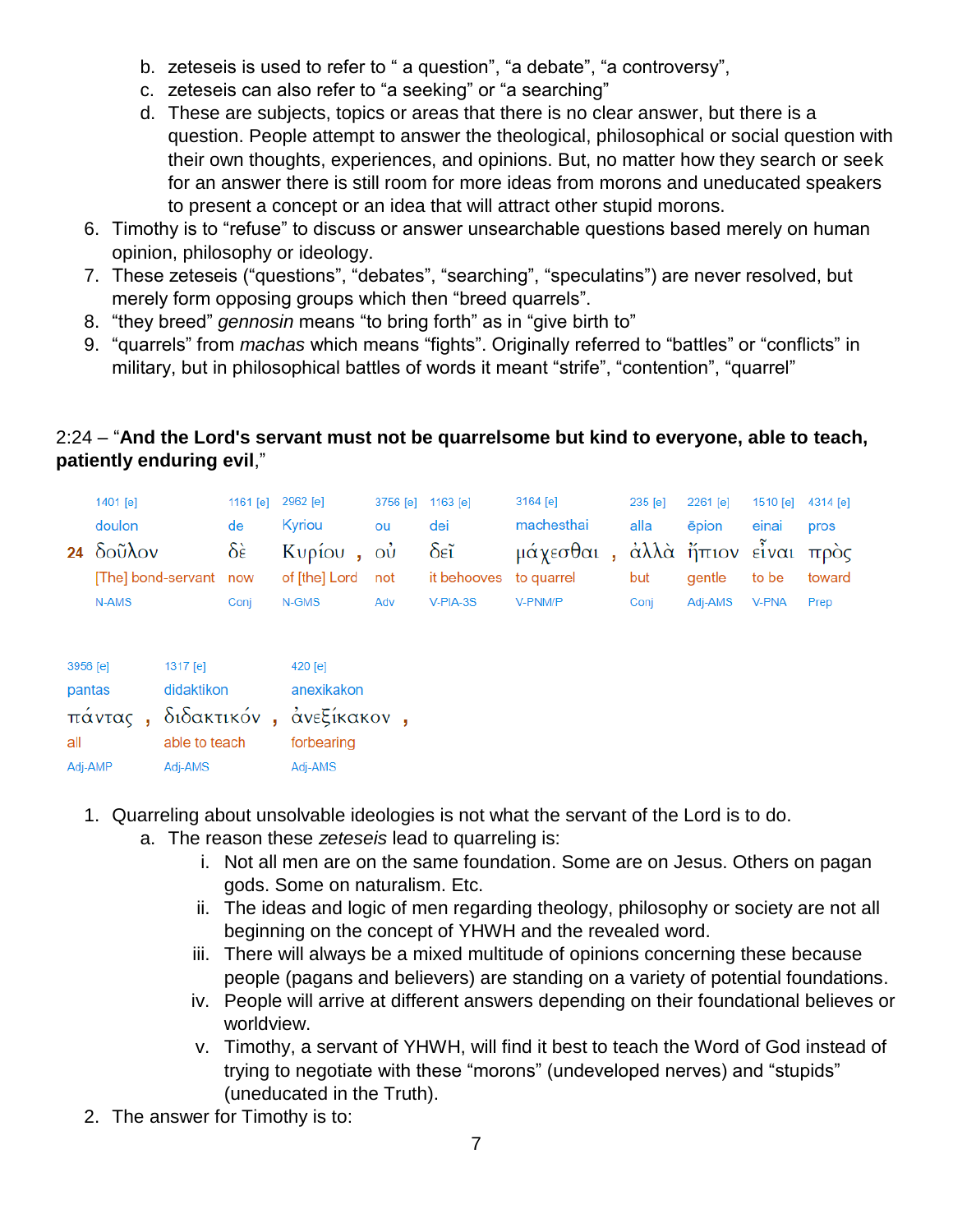- b. zeteseis is used to refer to " a question", "a debate", "a controversy",
- c. zeteseis can also refer to "a seeking" or "a searching"
- d. These are subjects, topics or areas that there is no clear answer, but there is a question. People attempt to answer the theological, philosophical or social question with their own thoughts, experiences, and opinions. But, no matter how they search or seek for an answer there is still room for more ideas from morons and uneducated speakers to present a concept or an idea that will attract other stupid morons.
- 6. Timothy is to "refuse" to discuss or answer unsearchable questions based merely on human opinion, philosophy or ideology.
- 7. These zeteseis ("questions", "debates", "searching", "speculatins") are never resolved, but merely form opposing groups which then "breed quarrels".
- 8. "they breed" *gennosin* means "to bring forth" as in "give birth to"
- 9. "quarrels" from *machas* which means "fights". Originally referred to "battles" or "conflicts" in military, but in philosophical battles of words it meant "strife", "contention", "quarrel"

## 2:24 – "**And the Lord's servant must not be quarrelsome but kind to everyone, able to teach, patiently enduring evil**,"

| 1401 [e]                    |      | 1161 [e] 2962 [e] | 3756 [e] 1163 [e] |            | 3164 [e]                        | $235$ $\text{[e]}$ | 2261 [e]     | 1510 [e] 4314 [e] |        |
|-----------------------------|------|-------------------|-------------------|------------|---------------------------------|--------------------|--------------|-------------------|--------|
| doulon                      | de   | Kvriou            | ou                | dei        | machesthai                      | alla               | <b>epion</b> | einai             | pros   |
| 24 $\delta$ oũ $\lambda$ ov |      | δὲ Κυρίου, οὐ δεῖ |                   |            | μάχεσθαι, άλλὰ ἤπιον εἶναι πρὸς |                    |              |                   |        |
| [The] bond-servant now      |      |                   |                   |            |                                 | but                | aentle       | to be             | toward |
| N-AMS                       | Coni | N-GMS             | Adv               | $V-PIA-3S$ | V-PNM/P                         | Coni               | Adi-AMS      | <b>V-PNA</b>      | Prep   |

| 3956 [e] | 1317 [e]                        | $420$ [e]  |
|----------|---------------------------------|------------|
| pantas   | didaktikon                      | anexikakon |
|          | πάντας, διδακτικόν, άνεξίκακον, |            |
| all      | able to teach                   | forbearing |
| Adj-AMP  | Adj-AMS                         | Adj-AMS    |

- 1. Quarreling about unsolvable ideologies is not what the servant of the Lord is to do.
	- a. The reason these *zeteseis* lead to quarreling is:
		- i. Not all men are on the same foundation. Some are on Jesus. Others on pagan gods. Some on naturalism. Etc.
		- ii. The ideas and logic of men regarding theology, philosophy or society are not all beginning on the concept of YHWH and the revealed word.
		- iii. There will always be a mixed multitude of opinions concerning these because people (pagans and believers) are standing on a variety of potential foundations.
		- iv. People will arrive at different answers depending on their foundational believes or worldview.
		- v. Timothy, a servant of YHWH, will find it best to teach the Word of God instead of trying to negotiate with these "morons" (undeveloped nerves) and "stupids" (uneducated in the Truth).
- 2. The answer for Timothy is to: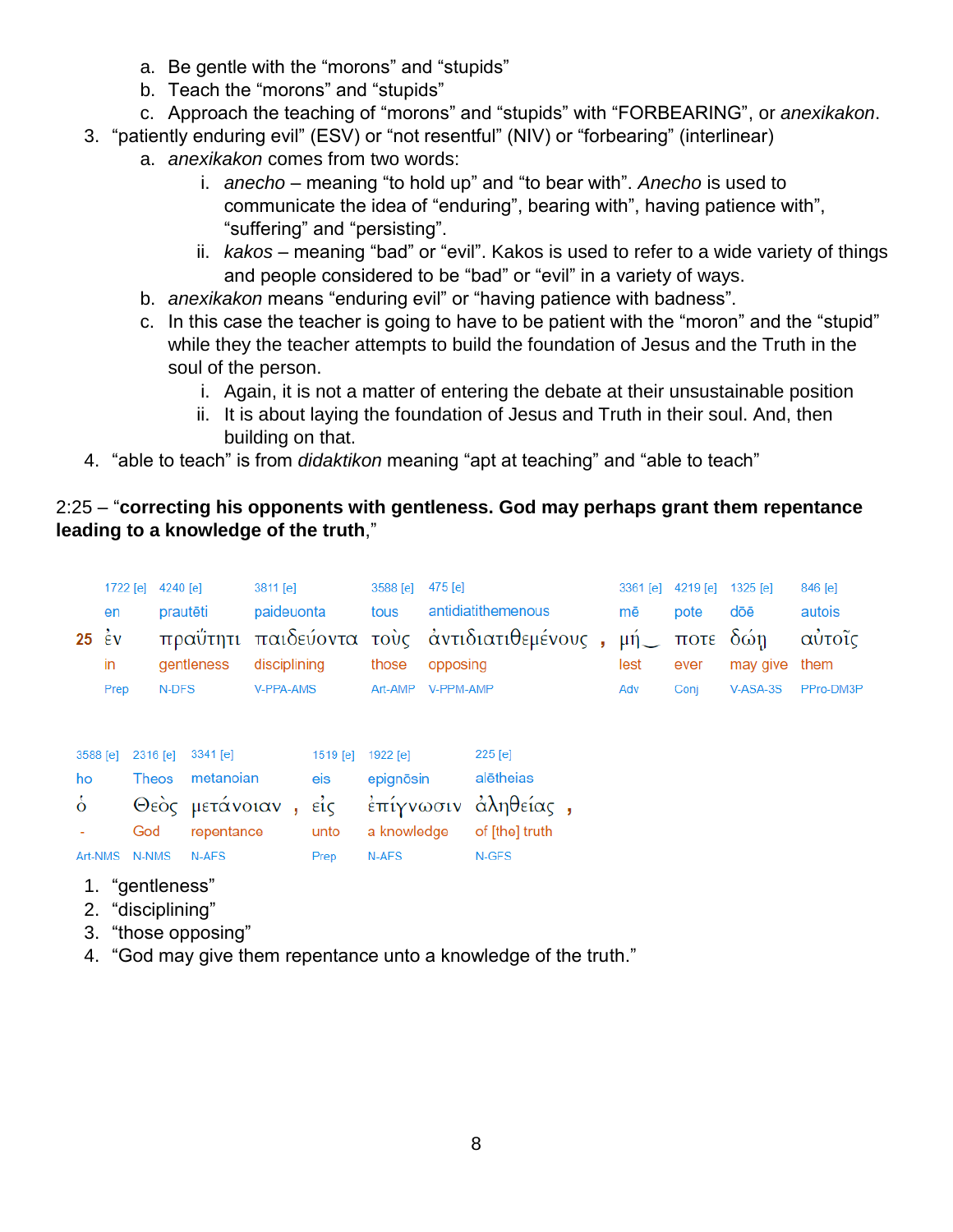- a. Be gentle with the "morons" and "stupids"
- b. Teach the "morons" and "stupids"
- c. Approach the teaching of "morons" and "stupids" with "FORBEARING", or *anexikakon*.
- 3. "patiently enduring evil" (ESV) or "not resentful" (NIV) or "forbearing" (interlinear)
	- a. *anexikakon* comes from two words:
		- i. *anecho* meaning "to hold up" and "to bear with". *Anecho* is used to communicate the idea of "enduring", bearing with", having patience with", "suffering" and "persisting".
		- ii. *kakos* meaning "bad" or "evil". Kakos is used to refer to a wide variety of things and people considered to be "bad" or "evil" in a variety of ways.
	- b. *anexikakon* means "enduring evil" or "having patience with badness".
	- c. In this case the teacher is going to have to be patient with the "moron" and the "stupid" while they the teacher attempts to build the foundation of Jesus and the Truth in the soul of the person.
		- i. Again, it is not a matter of entering the debate at their unsustainable position
		- ii. It is about laying the foundation of Jesus and Truth in their soul. And, then building on that.
- 4. "able to teach" is from *didaktikon* meaning "apt at teaching" and "able to teach"

## 2:25 – "**correcting his opponents with gentleness. God may perhaps grant them repentance leading to a knowledge of the truth**,"

| en<br>$25 \div 2$<br>in<br>Prep             |  | 1722 [e] 4240 [e]<br>prautēti<br>N-DFS   |  | gentleness                                                        | 3811 [e]<br>paideuonta<br>disciplining<br><b>V-PPA-AMS</b> |                                                    | 3588 [e]<br>tous<br>those<br>Art-AMP | 475 [e]<br>opposing<br>V-PPM-AMP | antidiatithemenous<br>πραΰτητι παιδεύοντα τους αντιδιατιθεμένους, μή   | 3361 [e] 4219 [e]<br>mē<br>lest<br>Adv | pote<br>ποτε δώη<br>ever<br>Conj | $1325$ [e]<br>dōē<br>may give<br>$V-ASA-3S$ | 846 [e]<br>autois<br>αυτοΐς<br>them<br>PPro-DM3P |
|---------------------------------------------|--|------------------------------------------|--|-------------------------------------------------------------------|------------------------------------------------------------|----------------------------------------------------|--------------------------------------|----------------------------------|------------------------------------------------------------------------|----------------------------------------|----------------------------------|---------------------------------------------|--------------------------------------------------|
| 3588 [e]<br>ho<br>$\dot{\delta}$<br>Art-NMS |  | 2316 [e]<br><b>Theos</b><br>God<br>N-NMS |  | $3341$ [e]<br>metanoian<br>Θεὸς μετάνοιαν,<br>repentance<br>N-AFS |                                                            | 1519 [e] 1922 [e]<br>eis<br>$ε$ ίς<br>unto<br>Prep | epignōsin<br>a knowledge<br>N-AFS    |                                  | 225 [e]<br>alētheias<br>έπίγνωσιν άληθείας,<br>of [the] truth<br>N-GFS |                                        |                                  |                                             |                                                  |

- 1. "gentleness"
- 2. "disciplining"
- 3. "those opposing"
- 4. "God may give them repentance unto a knowledge of the truth."